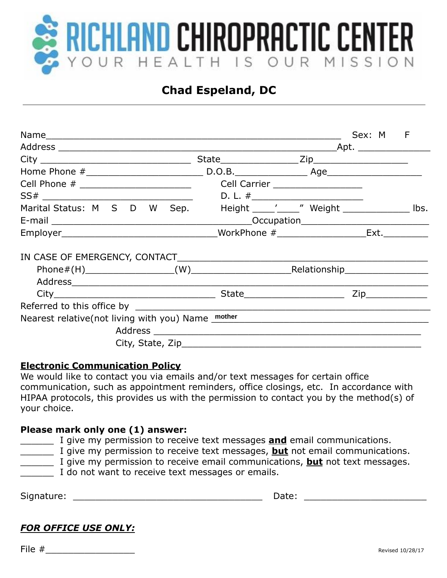

## **Chad Espeland, DC**

|                         |                                 | Sex: M F |
|-------------------------|---------------------------------|----------|
|                         |                                 |          |
|                         |                                 |          |
|                         |                                 |          |
|                         | Cell Carrier __________________ |          |
|                         |                                 |          |
| Marital Status: M S D W | Sep. Height / / Weight / Weight | lbs.     |
|                         |                                 |          |
|                         |                                 |          |
|                         |                                 |          |
|                         |                                 |          |
|                         |                                 |          |
| City Zip                |                                 |          |
|                         |                                 |          |
|                         |                                 |          |
|                         |                                 |          |
|                         |                                 |          |

#### **Electronic Communication Policy**

We would like to contact you via emails and/or text messages for certain office communication, such as appointment reminders, office closings, etc. In accordance with HIPAA protocols, this provides us with the permission to contact you by the method(s) of your choice.

#### **Please mark only one (1) answer:**

| I give my permission to receive text messages <b>and</b> email communications.      |
|-------------------------------------------------------------------------------------|
| I give my permission to receive text messages, <b>but</b> not email communications. |
| I give my permission to receive email communications, but not text messages.        |
| I do not want to receive text messages or emails.                                   |

Signature: \_\_\_\_\_\_\_\_\_\_\_\_\_\_\_\_\_\_\_\_\_\_\_\_\_\_\_\_\_\_\_\_\_\_ Date: \_\_\_\_\_\_\_\_\_\_\_\_\_\_\_\_\_\_\_\_\_\_

## *FOR OFFICE USE ONLY:*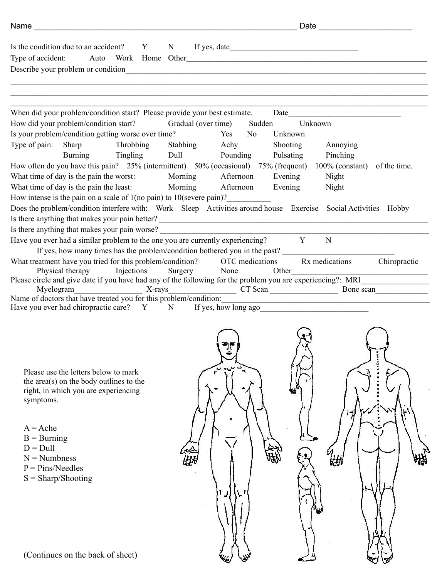| Is the condition due to an accident? Y<br>Type of accident:<br>When did your problem/condition start? Please provide your best estimate.<br>How did your problem/condition start?<br>Gradual (over time)<br>Sudden<br>Unknown<br>Is your problem/condition getting worse over time?<br>Yes<br>No<br>Unknown<br>Type of pain: Sharp<br>Throbbing<br>Stabbing<br>Achy<br>Shooting<br>Annoying<br><b>Burning</b><br>Tingling<br>Pinching<br>Dull<br>Pounding<br>Pulsating<br>How often do you have this pain? 25% (intermittent) 50% (occasional) 75% (frequent)<br>100% (constant) of the time.<br>What time of day is the pain the worst: Morning<br>Evening<br>Afternoon<br>Night<br>What time of day is the pain the least:<br>Morning<br>Afternoon<br>Evening<br>Night<br>$\vert \textbf{r} \vert$<br>How intense is the pain on a scale of $1$ (no pain) to $10$ (severe pain)?<br>Does the problem/condition interfere with: Work Sleep Activities around house Exercise Social Activities Hobby<br>Is there anything that makes your pain better?<br>Is there anything that makes your pain worse? __________________________________<br>Have you ever had a similar problem to the one you are currently experiencing? Y<br>N<br>If yes, how many times has the problem/condition bothered you in the past?<br>What treatment have you tried for this problem/condition?<br>OTC medications<br>Chiropractic<br>Rx medications<br>Injections<br>Physical therapy<br>Surgery<br>None<br>Other<br>Please circle and give date if you have had any of the following for the problem you are experiencing?: MRI<br>Myelogram X-rays X-rays CT Scan Bone scan<br>Name of doctors that have treated you for this problem/condition:<br><u> 1980 - Jan James James James James James James James James James James James James James James James James J</u><br>Have you ever had chiropractic care? Y N<br>If yes, how long ago<br>Please use the letters below to mark<br>the area( $s$ ) on the body outlines to the<br>right, in which you are experiencing<br>symptoms.<br>$A =$ Ache<br>$B =$ Burning<br>$D = D$ ull<br>$N =$ Numbness | Name _ | Date and the contract of the contract of the contract of the contract of the contract of the contract of the contract of the contract of the contract of the contract of the contract of the contract of the contract of the c |
|--------------------------------------------------------------------------------------------------------------------------------------------------------------------------------------------------------------------------------------------------------------------------------------------------------------------------------------------------------------------------------------------------------------------------------------------------------------------------------------------------------------------------------------------------------------------------------------------------------------------------------------------------------------------------------------------------------------------------------------------------------------------------------------------------------------------------------------------------------------------------------------------------------------------------------------------------------------------------------------------------------------------------------------------------------------------------------------------------------------------------------------------------------------------------------------------------------------------------------------------------------------------------------------------------------------------------------------------------------------------------------------------------------------------------------------------------------------------------------------------------------------------------------------------------------------------------------------------------------------------------------------------------------------------------------------------------------------------------------------------------------------------------------------------------------------------------------------------------------------------------------------------------------------------------------------------------------------------------------------------------------------------------------------------------------------------------------------------------------------------------------------------|--------|--------------------------------------------------------------------------------------------------------------------------------------------------------------------------------------------------------------------------------|
|                                                                                                                                                                                                                                                                                                                                                                                                                                                                                                                                                                                                                                                                                                                                                                                                                                                                                                                                                                                                                                                                                                                                                                                                                                                                                                                                                                                                                                                                                                                                                                                                                                                                                                                                                                                                                                                                                                                                                                                                                                                                                                                                            |        |                                                                                                                                                                                                                                |
|                                                                                                                                                                                                                                                                                                                                                                                                                                                                                                                                                                                                                                                                                                                                                                                                                                                                                                                                                                                                                                                                                                                                                                                                                                                                                                                                                                                                                                                                                                                                                                                                                                                                                                                                                                                                                                                                                                                                                                                                                                                                                                                                            |        |                                                                                                                                                                                                                                |
|                                                                                                                                                                                                                                                                                                                                                                                                                                                                                                                                                                                                                                                                                                                                                                                                                                                                                                                                                                                                                                                                                                                                                                                                                                                                                                                                                                                                                                                                                                                                                                                                                                                                                                                                                                                                                                                                                                                                                                                                                                                                                                                                            |        |                                                                                                                                                                                                                                |
|                                                                                                                                                                                                                                                                                                                                                                                                                                                                                                                                                                                                                                                                                                                                                                                                                                                                                                                                                                                                                                                                                                                                                                                                                                                                                                                                                                                                                                                                                                                                                                                                                                                                                                                                                                                                                                                                                                                                                                                                                                                                                                                                            |        |                                                                                                                                                                                                                                |
|                                                                                                                                                                                                                                                                                                                                                                                                                                                                                                                                                                                                                                                                                                                                                                                                                                                                                                                                                                                                                                                                                                                                                                                                                                                                                                                                                                                                                                                                                                                                                                                                                                                                                                                                                                                                                                                                                                                                                                                                                                                                                                                                            |        |                                                                                                                                                                                                                                |
|                                                                                                                                                                                                                                                                                                                                                                                                                                                                                                                                                                                                                                                                                                                                                                                                                                                                                                                                                                                                                                                                                                                                                                                                                                                                                                                                                                                                                                                                                                                                                                                                                                                                                                                                                                                                                                                                                                                                                                                                                                                                                                                                            |        |                                                                                                                                                                                                                                |
|                                                                                                                                                                                                                                                                                                                                                                                                                                                                                                                                                                                                                                                                                                                                                                                                                                                                                                                                                                                                                                                                                                                                                                                                                                                                                                                                                                                                                                                                                                                                                                                                                                                                                                                                                                                                                                                                                                                                                                                                                                                                                                                                            |        |                                                                                                                                                                                                                                |
|                                                                                                                                                                                                                                                                                                                                                                                                                                                                                                                                                                                                                                                                                                                                                                                                                                                                                                                                                                                                                                                                                                                                                                                                                                                                                                                                                                                                                                                                                                                                                                                                                                                                                                                                                                                                                                                                                                                                                                                                                                                                                                                                            |        |                                                                                                                                                                                                                                |
|                                                                                                                                                                                                                                                                                                                                                                                                                                                                                                                                                                                                                                                                                                                                                                                                                                                                                                                                                                                                                                                                                                                                                                                                                                                                                                                                                                                                                                                                                                                                                                                                                                                                                                                                                                                                                                                                                                                                                                                                                                                                                                                                            |        |                                                                                                                                                                                                                                |
|                                                                                                                                                                                                                                                                                                                                                                                                                                                                                                                                                                                                                                                                                                                                                                                                                                                                                                                                                                                                                                                                                                                                                                                                                                                                                                                                                                                                                                                                                                                                                                                                                                                                                                                                                                                                                                                                                                                                                                                                                                                                                                                                            |        |                                                                                                                                                                                                                                |
|                                                                                                                                                                                                                                                                                                                                                                                                                                                                                                                                                                                                                                                                                                                                                                                                                                                                                                                                                                                                                                                                                                                                                                                                                                                                                                                                                                                                                                                                                                                                                                                                                                                                                                                                                                                                                                                                                                                                                                                                                                                                                                                                            |        |                                                                                                                                                                                                                                |
|                                                                                                                                                                                                                                                                                                                                                                                                                                                                                                                                                                                                                                                                                                                                                                                                                                                                                                                                                                                                                                                                                                                                                                                                                                                                                                                                                                                                                                                                                                                                                                                                                                                                                                                                                                                                                                                                                                                                                                                                                                                                                                                                            |        |                                                                                                                                                                                                                                |
|                                                                                                                                                                                                                                                                                                                                                                                                                                                                                                                                                                                                                                                                                                                                                                                                                                                                                                                                                                                                                                                                                                                                                                                                                                                                                                                                                                                                                                                                                                                                                                                                                                                                                                                                                                                                                                                                                                                                                                                                                                                                                                                                            |        |                                                                                                                                                                                                                                |
|                                                                                                                                                                                                                                                                                                                                                                                                                                                                                                                                                                                                                                                                                                                                                                                                                                                                                                                                                                                                                                                                                                                                                                                                                                                                                                                                                                                                                                                                                                                                                                                                                                                                                                                                                                                                                                                                                                                                                                                                                                                                                                                                            |        |                                                                                                                                                                                                                                |
|                                                                                                                                                                                                                                                                                                                                                                                                                                                                                                                                                                                                                                                                                                                                                                                                                                                                                                                                                                                                                                                                                                                                                                                                                                                                                                                                                                                                                                                                                                                                                                                                                                                                                                                                                                                                                                                                                                                                                                                                                                                                                                                                            |        |                                                                                                                                                                                                                                |
|                                                                                                                                                                                                                                                                                                                                                                                                                                                                                                                                                                                                                                                                                                                                                                                                                                                                                                                                                                                                                                                                                                                                                                                                                                                                                                                                                                                                                                                                                                                                                                                                                                                                                                                                                                                                                                                                                                                                                                                                                                                                                                                                            |        |                                                                                                                                                                                                                                |
|                                                                                                                                                                                                                                                                                                                                                                                                                                                                                                                                                                                                                                                                                                                                                                                                                                                                                                                                                                                                                                                                                                                                                                                                                                                                                                                                                                                                                                                                                                                                                                                                                                                                                                                                                                                                                                                                                                                                                                                                                                                                                                                                            |        |                                                                                                                                                                                                                                |
|                                                                                                                                                                                                                                                                                                                                                                                                                                                                                                                                                                                                                                                                                                                                                                                                                                                                                                                                                                                                                                                                                                                                                                                                                                                                                                                                                                                                                                                                                                                                                                                                                                                                                                                                                                                                                                                                                                                                                                                                                                                                                                                                            |        |                                                                                                                                                                                                                                |
|                                                                                                                                                                                                                                                                                                                                                                                                                                                                                                                                                                                                                                                                                                                                                                                                                                                                                                                                                                                                                                                                                                                                                                                                                                                                                                                                                                                                                                                                                                                                                                                                                                                                                                                                                                                                                                                                                                                                                                                                                                                                                                                                            |        |                                                                                                                                                                                                                                |
|                                                                                                                                                                                                                                                                                                                                                                                                                                                                                                                                                                                                                                                                                                                                                                                                                                                                                                                                                                                                                                                                                                                                                                                                                                                                                                                                                                                                                                                                                                                                                                                                                                                                                                                                                                                                                                                                                                                                                                                                                                                                                                                                            |        |                                                                                                                                                                                                                                |
|                                                                                                                                                                                                                                                                                                                                                                                                                                                                                                                                                                                                                                                                                                                                                                                                                                                                                                                                                                                                                                                                                                                                                                                                                                                                                                                                                                                                                                                                                                                                                                                                                                                                                                                                                                                                                                                                                                                                                                                                                                                                                                                                            |        |                                                                                                                                                                                                                                |
|                                                                                                                                                                                                                                                                                                                                                                                                                                                                                                                                                                                                                                                                                                                                                                                                                                                                                                                                                                                                                                                                                                                                                                                                                                                                                                                                                                                                                                                                                                                                                                                                                                                                                                                                                                                                                                                                                                                                                                                                                                                                                                                                            |        |                                                                                                                                                                                                                                |
|                                                                                                                                                                                                                                                                                                                                                                                                                                                                                                                                                                                                                                                                                                                                                                                                                                                                                                                                                                                                                                                                                                                                                                                                                                                                                                                                                                                                                                                                                                                                                                                                                                                                                                                                                                                                                                                                                                                                                                                                                                                                                                                                            |        |                                                                                                                                                                                                                                |
|                                                                                                                                                                                                                                                                                                                                                                                                                                                                                                                                                                                                                                                                                                                                                                                                                                                                                                                                                                                                                                                                                                                                                                                                                                                                                                                                                                                                                                                                                                                                                                                                                                                                                                                                                                                                                                                                                                                                                                                                                                                                                                                                            |        |                                                                                                                                                                                                                                |
|                                                                                                                                                                                                                                                                                                                                                                                                                                                                                                                                                                                                                                                                                                                                                                                                                                                                                                                                                                                                                                                                                                                                                                                                                                                                                                                                                                                                                                                                                                                                                                                                                                                                                                                                                                                                                                                                                                                                                                                                                                                                                                                                            |        |                                                                                                                                                                                                                                |
|                                                                                                                                                                                                                                                                                                                                                                                                                                                                                                                                                                                                                                                                                                                                                                                                                                                                                                                                                                                                                                                                                                                                                                                                                                                                                                                                                                                                                                                                                                                                                                                                                                                                                                                                                                                                                                                                                                                                                                                                                                                                                                                                            |        |                                                                                                                                                                                                                                |
|                                                                                                                                                                                                                                                                                                                                                                                                                                                                                                                                                                                                                                                                                                                                                                                                                                                                                                                                                                                                                                                                                                                                                                                                                                                                                                                                                                                                                                                                                                                                                                                                                                                                                                                                                                                                                                                                                                                                                                                                                                                                                                                                            |        |                                                                                                                                                                                                                                |
|                                                                                                                                                                                                                                                                                                                                                                                                                                                                                                                                                                                                                                                                                                                                                                                                                                                                                                                                                                                                                                                                                                                                                                                                                                                                                                                                                                                                                                                                                                                                                                                                                                                                                                                                                                                                                                                                                                                                                                                                                                                                                                                                            |        |                                                                                                                                                                                                                                |
|                                                                                                                                                                                                                                                                                                                                                                                                                                                                                                                                                                                                                                                                                                                                                                                                                                                                                                                                                                                                                                                                                                                                                                                                                                                                                                                                                                                                                                                                                                                                                                                                                                                                                                                                                                                                                                                                                                                                                                                                                                                                                                                                            |        |                                                                                                                                                                                                                                |
|                                                                                                                                                                                                                                                                                                                                                                                                                                                                                                                                                                                                                                                                                                                                                                                                                                                                                                                                                                                                                                                                                                                                                                                                                                                                                                                                                                                                                                                                                                                                                                                                                                                                                                                                                                                                                                                                                                                                                                                                                                                                                                                                            |        |                                                                                                                                                                                                                                |
|                                                                                                                                                                                                                                                                                                                                                                                                                                                                                                                                                                                                                                                                                                                                                                                                                                                                                                                                                                                                                                                                                                                                                                                                                                                                                                                                                                                                                                                                                                                                                                                                                                                                                                                                                                                                                                                                                                                                                                                                                                                                                                                                            |        |                                                                                                                                                                                                                                |
|                                                                                                                                                                                                                                                                                                                                                                                                                                                                                                                                                                                                                                                                                                                                                                                                                                                                                                                                                                                                                                                                                                                                                                                                                                                                                                                                                                                                                                                                                                                                                                                                                                                                                                                                                                                                                                                                                                                                                                                                                                                                                                                                            |        |                                                                                                                                                                                                                                |
|                                                                                                                                                                                                                                                                                                                                                                                                                                                                                                                                                                                                                                                                                                                                                                                                                                                                                                                                                                                                                                                                                                                                                                                                                                                                                                                                                                                                                                                                                                                                                                                                                                                                                                                                                                                                                                                                                                                                                                                                                                                                                                                                            |        |                                                                                                                                                                                                                                |
|                                                                                                                                                                                                                                                                                                                                                                                                                                                                                                                                                                                                                                                                                                                                                                                                                                                                                                                                                                                                                                                                                                                                                                                                                                                                                                                                                                                                                                                                                                                                                                                                                                                                                                                                                                                                                                                                                                                                                                                                                                                                                                                                            |        |                                                                                                                                                                                                                                |
|                                                                                                                                                                                                                                                                                                                                                                                                                                                                                                                                                                                                                                                                                                                                                                                                                                                                                                                                                                                                                                                                                                                                                                                                                                                                                                                                                                                                                                                                                                                                                                                                                                                                                                                                                                                                                                                                                                                                                                                                                                                                                                                                            |        |                                                                                                                                                                                                                                |
| $P = Pins/Needles$                                                                                                                                                                                                                                                                                                                                                                                                                                                                                                                                                                                                                                                                                                                                                                                                                                                                                                                                                                                                                                                                                                                                                                                                                                                                                                                                                                                                                                                                                                                                                                                                                                                                                                                                                                                                                                                                                                                                                                                                                                                                                                                         |        |                                                                                                                                                                                                                                |
| $S = \frac{S}{\text{harp}}$                                                                                                                                                                                                                                                                                                                                                                                                                                                                                                                                                                                                                                                                                                                                                                                                                                                                                                                                                                                                                                                                                                                                                                                                                                                                                                                                                                                                                                                                                                                                                                                                                                                                                                                                                                                                                                                                                                                                                                                                                                                                                                                |        |                                                                                                                                                                                                                                |
|                                                                                                                                                                                                                                                                                                                                                                                                                                                                                                                                                                                                                                                                                                                                                                                                                                                                                                                                                                                                                                                                                                                                                                                                                                                                                                                                                                                                                                                                                                                                                                                                                                                                                                                                                                                                                                                                                                                                                                                                                                                                                                                                            |        |                                                                                                                                                                                                                                |
|                                                                                                                                                                                                                                                                                                                                                                                                                                                                                                                                                                                                                                                                                                                                                                                                                                                                                                                                                                                                                                                                                                                                                                                                                                                                                                                                                                                                                                                                                                                                                                                                                                                                                                                                                                                                                                                                                                                                                                                                                                                                                                                                            |        |                                                                                                                                                                                                                                |
|                                                                                                                                                                                                                                                                                                                                                                                                                                                                                                                                                                                                                                                                                                                                                                                                                                                                                                                                                                                                                                                                                                                                                                                                                                                                                                                                                                                                                                                                                                                                                                                                                                                                                                                                                                                                                                                                                                                                                                                                                                                                                                                                            |        |                                                                                                                                                                                                                                |
|                                                                                                                                                                                                                                                                                                                                                                                                                                                                                                                                                                                                                                                                                                                                                                                                                                                                                                                                                                                                                                                                                                                                                                                                                                                                                                                                                                                                                                                                                                                                                                                                                                                                                                                                                                                                                                                                                                                                                                                                                                                                                                                                            |        |                                                                                                                                                                                                                                |
|                                                                                                                                                                                                                                                                                                                                                                                                                                                                                                                                                                                                                                                                                                                                                                                                                                                                                                                                                                                                                                                                                                                                                                                                                                                                                                                                                                                                                                                                                                                                                                                                                                                                                                                                                                                                                                                                                                                                                                                                                                                                                                                                            |        |                                                                                                                                                                                                                                |
|                                                                                                                                                                                                                                                                                                                                                                                                                                                                                                                                                                                                                                                                                                                                                                                                                                                                                                                                                                                                                                                                                                                                                                                                                                                                                                                                                                                                                                                                                                                                                                                                                                                                                                                                                                                                                                                                                                                                                                                                                                                                                                                                            |        |                                                                                                                                                                                                                                |
| (Continues on the back of sheet)                                                                                                                                                                                                                                                                                                                                                                                                                                                                                                                                                                                                                                                                                                                                                                                                                                                                                                                                                                                                                                                                                                                                                                                                                                                                                                                                                                                                                                                                                                                                                                                                                                                                                                                                                                                                                                                                                                                                                                                                                                                                                                           |        |                                                                                                                                                                                                                                |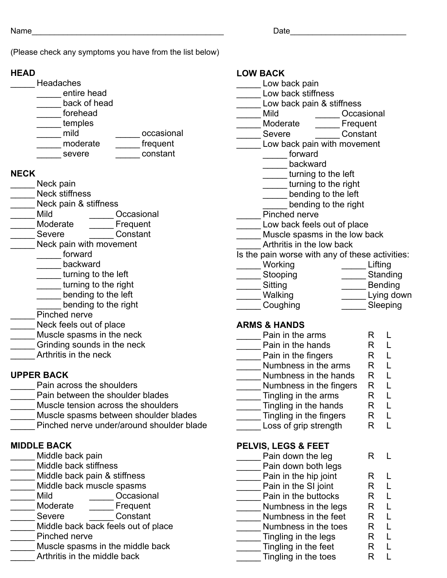(Please check any symptoms you have from the list below)

### **HEAD**

### **NECK**

- Neck pain
- Neck stiffness
- Neck pain & stiffness
- Mild **Construction** Occasional
- Moderate Frequent Severe Constant
- Neck pain with movement
- \_\_\_\_\_ forward
	- \_\_\_\_\_ backward
	- turning to the left
	- \_\_\_\_\_ turning to the right
	- bending to the left
	- bending to the right
- Pinched nerve
- Neck feels out of place
- Muscle spasms in the neck
- Grinding sounds in the neck
- \_\_\_\_\_ Arthritis in the neck

## **UPPER BACK**

- Pain across the shoulders
- Pain between the shoulder blades
- Muscle tension across the shoulders
- Muscle spasms between shoulder blades
- Pinched nerve under/around shoulder blade

## **MIDDLE BACK**

- Middle back pain
- \_\_\_\_\_ Middle back stiffness
- Middle back pain & stiffness
- Middle back muscle spasms
- Mild **Construction** Occasional
- Moderate Frequent
- \_\_\_\_\_ Severe \_\_\_\_\_ Constant
- Middle back back feels out of place Pinched nerve
- 
- Muscle spasms in the middle back
- Arthritis in the middle back

## **LOW BACK**

- Low back pain
- Low back stiffness
- Low back pain & stiffness
- Mild **Occasional**
- Moderate Frequent
- Severe Constant
- Low back pain with movement
	- \_\_\_\_\_ forward
	- \_\_\_\_\_ backward
		- turning to the left
	- turning to the right
	- bending to the left
	- bending to the right
- Pinched nerve
- Low back feels out of place
- Muscle spasms in the low back
- \_\_\_\_\_ Arthritis in the low back

Is the pain worse with any of these activities:

- Working **Example 2** Lifting
- Stooping **Executive Standing** Standing
- Sitting **Bending**
- Walking **Example 20** Lying down
- Coughing **Example 20** Sleeping

## **ARMS & HANDS**

- Pain in the arms R L Pain in the hands R L Pain in the fingers R L Numbness in the arms R L Numbness in the hands R L Numbness in the fingers R L Tingling in the arms R L Tingling in the hands  $R$  L Tingling in the fingers R L Loss of grip strength R L **PELVIS, LEGS & FEET**
- Pain down the leg R L Pain down both legs Pain in the hip joint R L Pain in the SI joint R L Pain in the buttocks R L Numbness in the legs R L Numbness in the feet R L Numbness in the toes R L Tingling in the legs R L Tingling in the feet R L Tingling in the toes  $R$  L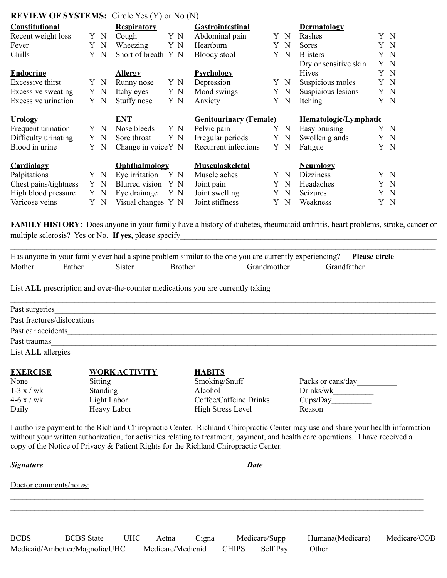| <b>REVIEW OF SYSTEMS:</b> Circle Yes $(Y)$ or No $(N)$ : |   |             |                       |     |                               |   |                       |                       |     |     |
|----------------------------------------------------------|---|-------------|-----------------------|-----|-------------------------------|---|-----------------------|-----------------------|-----|-----|
| <b>Constitutional</b>                                    |   |             | <b>Respiratory</b>    |     | <b>Gastrointestinal</b>       |   |                       | <b>Dermatology</b>    |     |     |
| Recent weight loss                                       |   | Y N         | Cough                 | Y N | Abdominal pain                |   | Y N                   | Rashes                |     | Y N |
| Fever                                                    |   | Y N         | Wheezing              | Y N | Heartburn                     | Y | $\mathbf N$           | Sores                 | Y N |     |
| Chills                                                   | Y | $\mathbf N$ | Short of breath Y N   |     | Bloody stool                  | Y | $\mathbf N$           | <b>Blisters</b>       |     | Y N |
|                                                          |   |             |                       |     |                               |   |                       | Dry or sensitive skin | Y N |     |
| <b>Endocrine</b>                                         |   |             | <b>Allergy</b>        |     | Psychology                    |   |                       | <b>Hives</b>          | Y N |     |
| Excessive thirst                                         |   | Y N         | Runny nose            | Y N | Depression                    |   | Y N                   | Suspicious moles      | Y N |     |
| <b>Excessive sweating</b>                                |   | Y N         | Itchy eyes            | Y N | Mood swings                   |   | Y N                   | Suspicious lesions    | Y N |     |
| Excessive urination                                      |   | Y N         | Stuffy nose           | Y N | Anxiety                       | Y | $\mathbf N$           | Itching               |     | Y N |
| <b>Urology</b>                                           |   |             | ENT                   |     | <b>Genitourinary (Female)</b> |   | Hematologic/Lymphatic |                       |     |     |
| Frequent urination                                       |   | Y N         | Nose bleeds           | Y N | Pelvic pain                   | Y | $\mathbf N$           | Easy bruising         | Y N |     |
| Difficulty urinating                                     |   | Y N         | Sore throat           | Y N | Irregular periods             |   | Y N                   | Swollen glands        |     | Y N |
| Blood in urine                                           |   | Y N         | Change in voice Y N   |     | Recurrent infections          |   | Y N                   | Fatigue               |     | Y N |
| <b>Cardiology</b>                                        |   |             | Ophthalmology         |     | Musculoskeletal               |   |                       | <b>Neurology</b>      |     |     |
| Palpitations                                             |   | Y N         | Eye irritation        | Y N | Muscle aches                  |   | Y N                   | <b>Dizziness</b>      |     | Y N |
| Chest pains/tightness                                    |   | Y N         | <b>Blurred</b> vision | Y N | Joint pain                    | Y | $\mathbf N$           | Headaches             |     | Y N |
| High blood pressure                                      |   | Y N         | Eye drainage          | Y N | Joint swelling                | Y | $\mathbf N$           | <b>Seizures</b>       | Y N |     |
| Varicose veins                                           |   | Y N         | Visual changes Y N    |     | Joint stiffness               | Y | N                     | Weakness              | Y N |     |

| Mother                                                     | Father                                                                                   | <b>Sister</b>        | <b>Brother</b> | Has anyone in your family ever had a spine problem similar to the one you are currently experiencing?<br>Grandmother | <b>Please circle</b><br>Grandfather                                                                                                                                                                                                                                 |
|------------------------------------------------------------|------------------------------------------------------------------------------------------|----------------------|----------------|----------------------------------------------------------------------------------------------------------------------|---------------------------------------------------------------------------------------------------------------------------------------------------------------------------------------------------------------------------------------------------------------------|
|                                                            |                                                                                          |                      |                |                                                                                                                      |                                                                                                                                                                                                                                                                     |
|                                                            |                                                                                          |                      |                |                                                                                                                      |                                                                                                                                                                                                                                                                     |
| Past surgeries                                             |                                                                                          |                      |                |                                                                                                                      | <u> 1989 - Johann Stoff, deutscher Stoff, der Stoff, der Stoff, der Stoff, der Stoff, der Stoff, der Stoff, der S</u>                                                                                                                                               |
|                                                            |                                                                                          |                      |                |                                                                                                                      |                                                                                                                                                                                                                                                                     |
|                                                            |                                                                                          |                      |                | Past car accidents                                                                                                   |                                                                                                                                                                                                                                                                     |
| Past traumas                                               |                                                                                          |                      |                |                                                                                                                      |                                                                                                                                                                                                                                                                     |
|                                                            |                                                                                          |                      |                |                                                                                                                      |                                                                                                                                                                                                                                                                     |
|                                                            |                                                                                          |                      |                |                                                                                                                      |                                                                                                                                                                                                                                                                     |
| <b>EXERCISE</b><br>None                                    |                                                                                          | <b>WORK ACTIVITY</b> | <b>HABITS</b>  |                                                                                                                      |                                                                                                                                                                                                                                                                     |
| $1-3 x / wk$                                               | Smoking/Snuff<br>Packs or cans/day<br>Sitting<br>Alcohol<br>Drinks/wk<br><b>Standing</b> |                      |                |                                                                                                                      |                                                                                                                                                                                                                                                                     |
| Coffee/Caffeine Drinks<br>$4-6 \times / wk$<br>Light Labor |                                                                                          |                      |                |                                                                                                                      |                                                                                                                                                                                                                                                                     |
| Heavy Labor<br><b>High Stress Level</b><br>Daily           |                                                                                          |                      |                |                                                                                                                      | Reason                                                                                                                                                                                                                                                              |
|                                                            |                                                                                          |                      |                |                                                                                                                      | I authorize payment to the Richland Chiropractic Center. Richland Chiropractic Center may use and share your health information<br>without your written authorization, for activities relating to treatment, payment, and health care operations. I have received a |
|                                                            |                                                                                          |                      |                | copy of the Notice of Privacy & Patient Rights for the Richland Chiropractic Center.                                 |                                                                                                                                                                                                                                                                     |
|                                                            |                                                                                          |                      |                |                                                                                                                      |                                                                                                                                                                                                                                                                     |
|                                                            |                                                                                          |                      |                | Doctor comments/notes:                                                                                               |                                                                                                                                                                                                                                                                     |
|                                                            |                                                                                          |                      |                |                                                                                                                      |                                                                                                                                                                                                                                                                     |
|                                                            |                                                                                          |                      |                |                                                                                                                      |                                                                                                                                                                                                                                                                     |
|                                                            |                                                                                          |                      |                |                                                                                                                      |                                                                                                                                                                                                                                                                     |
| <b>BCBS</b>                                                | <b>BCBS</b> State                                                                        | <b>UHC</b>           | Cigna<br>Aetna | Medicare/Supp                                                                                                        | Humana(Medicare)<br>Medicare/COB                                                                                                                                                                                                                                    |

Medicaid/Ambetter/Magnolia/UHC Medicare/Medicaid CHIPS Self Pay Other

**FAMILY HISTORY**: Does anyone in your family have a history of diabetes, rheumatoid arthritis, heart problems, stroke, cancer or multiple sclerosis? Yes or No. **If yes**, please specify\_\_\_\_\_\_\_\_\_\_\_\_\_\_\_\_\_\_\_\_\_\_\_\_\_\_\_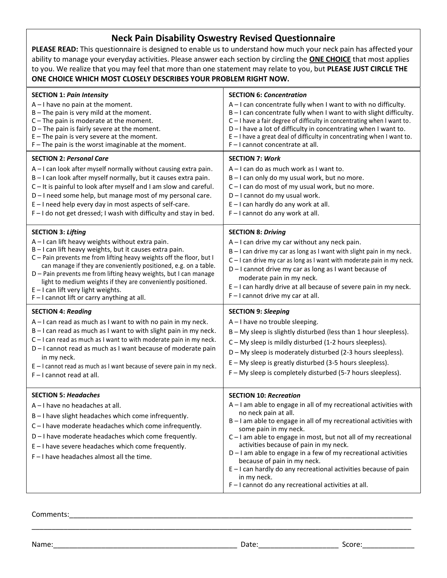## **Neck Pain Disability Oswestry Revised Questionnaire**

**PLEASE READ:** This questionnaire is designed to enable us to understand how much your neck pain has affected your ability to manage your everyday activities. Please answer each section by circling the **ONE CHOICE** that most applies to you. We realize that you may feel that more than one statement may relate to you, but **PLEASE JUST CIRCLE THE ONE CHOICE WHICH MOST CLOSELY DESCRIBES YOUR PROBLEM RIGHT NOW.** 

| <b>SECTION 1: Pain Intensity</b><br>$A - I$ have no pain at the moment.<br>B - The pain is very mild at the moment.<br>C-The pain is moderate at the moment.<br>D - The pain is fairly severe at the moment.<br>$E$ – The pain is very severe at the moment.<br>$F$ – The pain is the worst imaginable at the moment.                                                                                                                                                                                          | <b>SECTION 6: Concentration</b><br>$A - I$ can concentrate fully when I want to with no difficulty.<br>B-I can concentrate fully when I want to with slight difficulty.<br>C-I have a fair degree of difficulty in concentrating when I want to.<br>D-I have a lot of difficulty in concentrating when I want to.<br>$E - I$ have a great deal of difficulty in concentrating when I want to.<br>F-I cannot concentrate at all.                                                                                                                                             |
|----------------------------------------------------------------------------------------------------------------------------------------------------------------------------------------------------------------------------------------------------------------------------------------------------------------------------------------------------------------------------------------------------------------------------------------------------------------------------------------------------------------|-----------------------------------------------------------------------------------------------------------------------------------------------------------------------------------------------------------------------------------------------------------------------------------------------------------------------------------------------------------------------------------------------------------------------------------------------------------------------------------------------------------------------------------------------------------------------------|
| <b>SECTION 2: Personal Care</b><br>A-I can look after myself normally without causing extra pain.<br>B-I can look after myself normally, but it causes extra pain.<br>C-It is painful to look after myself and I am slow and careful.<br>D-I need some help, but manage most of my personal care.<br>E-I need help every day in most aspects of self-care.<br>F-I do not get dressed; I wash with difficulty and stay in bed.                                                                                  | <b>SECTION 7: Work</b><br>A-I can do as much work as I want to.<br>B-I can only do my usual work, but no more.<br>C-I can do most of my usual work, but no more.<br>D-I cannot do my usual work.<br>$E - I$ can hardly do any work at all.<br>F-I cannot do any work at all.                                                                                                                                                                                                                                                                                                |
| <b>SECTION 3: Lifting</b><br>A-I can lift heavy weights without extra pain.<br>B-I can lift heavy weights, but it causes extra pain.<br>C - Pain prevents me from lifting heavy weights off the floor, but I<br>can manage if they are conveniently positioned, e.g. on a table.<br>D - Pain prevents me from lifting heavy weights, but I can manage<br>light to medium weights if they are conveniently positioned.<br>$E - I$ can lift very light weights.<br>$F - I$ cannot lift or carry anything at all. | <b>SECTION 8: Driving</b><br>A-I can drive my car without any neck pain.<br>$B - I$ can drive my car as long as I want with slight pain in my neck.<br>$C - I$ can drive my car as long as I want with moderate pain in my neck.<br>D-I cannot drive my car as long as I want because of<br>moderate pain in my neck.<br>$E - I$ can hardly drive at all because of severe pain in my neck.<br>F-I cannot drive my car at all.                                                                                                                                              |
| <b>SECTION 4: Reading</b><br>A - I can read as much as I want to with no pain in my neck.<br>$B - I$ can read as much as I want to with slight pain in my neck.<br>$C - I$ can read as much as I want to with moderate pain in my neck.<br>D-I cannot read as much as I want because of moderate pain<br>in my neck.<br>$E - I$ cannot read as much as I want because of severe pain in my neck.<br>$F - I$ cannot read at all.                                                                                | <b>SECTION 9: Sleeping</b><br>A-I have no trouble sleeping.<br>B - My sleep is slightly disturbed (less than 1 hour sleepless).<br>C - My sleep is mildly disturbed (1-2 hours sleepless).<br>D - My sleep is moderately disturbed (2-3 hours sleepless).<br>E - My sleep is greatly disturbed (3-5 hours sleepless).<br>F - My sleep is completely disturbed (5-7 hours sleepless).                                                                                                                                                                                        |
| <b>SECTION 5: Headaches</b><br>A-I have no headaches at all.<br>B-I have slight headaches which come infrequently.<br>C-I have moderate headaches which come infrequently.<br>D-I have moderate headaches which come frequently.<br>$E - I$ have severe headaches which come frequently.<br>$F - I$ have headaches almost all the time.                                                                                                                                                                        | <b>SECTION 10: Recreation</b><br>$A - I$ am able to engage in all of my recreational activities with<br>no neck pain at all.<br>B-I am able to engage in all of my recreational activities with<br>some pain in my neck.<br>C-I am able to engage in most, but not all of my recreational<br>activities because of pain in my neck.<br>D-I am able to engage in a few of my recreational activities<br>because of pain in my neck.<br>$E - I$ can hardly do any recreational activities because of pain<br>in my neck.<br>F-I cannot do any recreational activities at all. |

Comments: with the comments of the community of the community of the community of the community of the community of the community of the community of the community of the community of the community of the community of the

 $\overline{\phantom{a}}$ 

\_\_\_\_\_\_\_\_\_\_\_\_\_\_\_\_\_\_\_\_\_\_\_\_\_\_\_\_\_\_\_\_\_\_\_\_\_\_\_\_\_\_\_\_\_\_\_\_\_\_\_\_\_\_\_\_\_\_\_\_\_\_\_\_\_\_\_\_\_\_\_\_\_\_\_\_\_\_\_\_\_\_\_\_\_\_\_\_\_\_\_\_\_\_\_